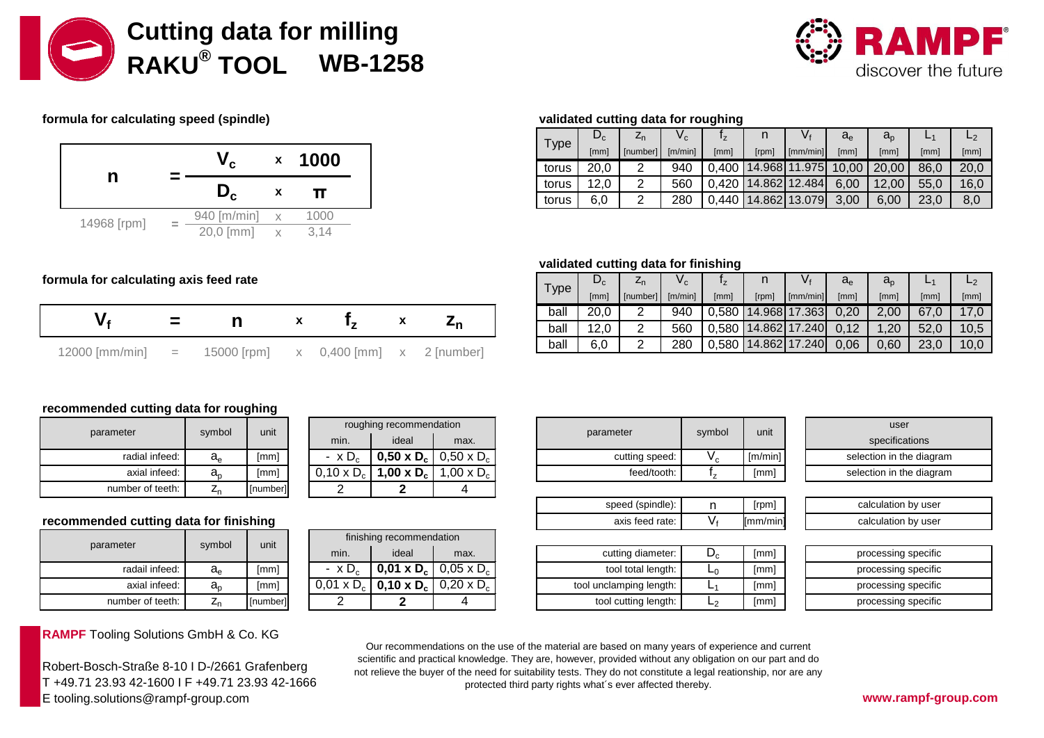



# **formula for calculating speed (spindle) validated cutting data for roughing**



|     |  | Type  | $\bm{\nu}_{\text{c}}$ | ∠n      | V.   |       |          | $V_{\rm f}$         | a,   | $a_n$                         | –    |      |
|-----|--|-------|-----------------------|---------|------|-------|----------|---------------------|------|-------------------------------|------|------|
| 000 |  | [mm]  | [ [number]            | [m/min] | [mm] | [rpm] | [mm/min] | [mm]                | [mm] | [mm]                          | [mm] |      |
|     |  | torus | 20,0                  |         | 940  | 0.400 |          |                     |      | 14.968 11.975   10,00   20,00 | 86,0 | 20,0 |
|     |  | torus | 12,0                  | ⌒       | 560  |       |          | 0,420 14.862 12.484 | 6,00 | 12,00                         | 55,0 | 16,0 |
|     |  | torus | 6,0                   | ⌒       | 280  |       |          | 0,440 14.862 13.079 | 3,00 | 6,00                          | 23,0 | 8,0  |

#### **validated cutting data for finishing**

|      | $\bm{\nu}_{\rm c}$ | ∠ո       | $V_{\rm C}$ | $\mathbf{I}_{\mathsf{Z}}$ |             |               | $a_e$ | $a_{\rm o}$ |      |      |
|------|--------------------|----------|-------------|---------------------------|-------------|---------------|-------|-------------|------|------|
| Type | [mm]               | [number] | [m/min]     | [mm]                      | $[$ rpm $]$ | [mm/min]      | [mm]  | [mm         | [mm  | [mm] |
| ball | 20,0               |          | 940         | 0.580                     |             | 14.968 17.363 | 0,20  | $2,00^{-}$  | 67,0 | 17,0 |
| ball | 12,0               |          | 560         | 0.580                     |             | 14.862 17.240 | 0.12  | ,20         | 52,0 | 10,5 |
| ball | 6.0                |          | 280         | 0.580                     |             | 14.862 17.240 | 0,06  | 0,60        | 23,0 | 10,0 |

## formula for calculating axis feed rate

|                    |                                               |  |                          | ball |
|--------------------|-----------------------------------------------|--|--------------------------|------|
|                    |                                               |  | $\overline{\phantom{a}}$ | ball |
| $12000$ [mm/min] = | 15000 [rpm] $x = 0,400$ [mm] $x = 2$ [number] |  |                          | ball |

# **recommended cutting data for roughing**

| parameter        | symbol      | unit     |
|------------------|-------------|----------|
| radial infeed:   | $a_e$       | [mm]     |
| axial infeed:    | $a_{\rm o}$ | [mm]     |
| number of teeth: |             | [number] |

### recommended cutting data for finishing

| parameter        | symbol         | unit     |
|------------------|----------------|----------|
| radail infeed:   | a <sub>e</sub> | [mm]     |
| axial infeed:    | a <sub>n</sub> | [mm]     |
| number of teeth: | $Z_{n}$        | [number] |

**RAMPF** Tooling Solutions GmbH & Co. KG

Robert-Bosch-Straße 8-10 I D-/2661 Grafenberg T +49.71 23.93 42-1600 I F +49.71 23.93 42-1666 E tooling.solutions@rampf-group.com **www.rampf-group.com**

| unit     |                   | roughing recommendation |                                                     |
|----------|-------------------|-------------------------|-----------------------------------------------------|
|          | min.              | ideal                   | max.                                                |
| [mm]     | $- x D_c$         |                         | <b>0,50 x D<sub>c</sub></b>   0,50 x D <sub>c</sub> |
| [mm]     | $0,10 \times D_c$ | 1,00 x $D_c$            | 1,00 x $D_c$                                        |
| [number] |                   |                         |                                                     |

| unit     |                   | finishing recommendation |                                                     |
|----------|-------------------|--------------------------|-----------------------------------------------------|
|          | min.              | ideal                    | max.                                                |
| [mm]     | $- x D_c$         |                          | <b>0,01 x D<sub>c</sub></b>   0,05 x D <sub>c</sub> |
| [mm]     | $0,01 \times D_c$ |                          | <b>0,10 x D<sub>c</sub></b>   0,20 x D <sub>c</sub> |
| [number] |                   |                          |                                                     |

| roughing recommendation |                                                                     |                                                                |                |        |         | user |                      |
|-------------------------|---------------------------------------------------------------------|----------------------------------------------------------------|----------------|--------|---------|------|----------------------|
| min.                    | ideal                                                               | max.                                                           | parameter      | symbol | unit    |      | specifications       |
| $\times D_{c}$          | $\vert$ 0,50 x D <sub>c</sub> $\vert$ 0,50 x D <sub>c</sub> $\vert$ |                                                                | cutting speed: | ' c    | [m/min] |      | selection in the dia |
|                         |                                                                     | $0 \times D_c$   1,00 x D <sub>c</sub>   1,00 x D <sub>c</sub> | feed/tooth:    |        | [mm]    |      | selection in the dia |

| speed (spindle):  | Irpml           |
|-------------------|-----------------|
| axis feed rate: I | ${\sf Imm/min}$ |

| cutting diameter:       | [mm] |
|-------------------------|------|
| tool total length:      | [mm] |
| tool unclamping length: | [mm] |
| tool cutting length:    | [mm] |

| unit    | user                     |
|---------|--------------------------|
|         | specifications           |
| [m/min] | selection in the diagram |
| [mm]    | selection in the diagram |

| [rpm]           | calculation by user |
|-----------------|---------------------|
| ${\sf Imm/min}$ | calculation by user |

| [mm] | processing specific |
|------|---------------------|
| [mm] | processing specific |
| [mm] | processing specific |
| [mm] | processing specific |

Our recommendations on the use of the material are based on many years of experience and current scientific and practical knowledge. They are, however, provided without any obligation on our part and do not relieve the buyer of the need for suitability tests. They do not constitute a legal reationship, nor are any protected third party rights what´s ever affected thereby.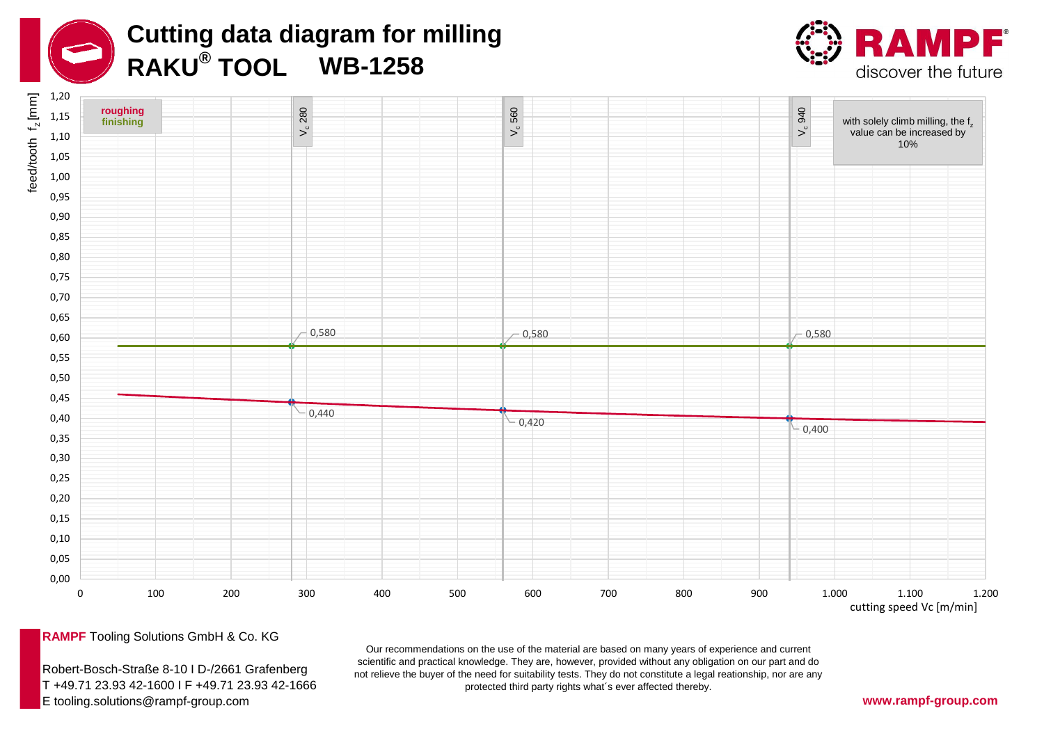





**RAMPF** Tooling Solutions GmbH & Co. KG

Robert-Bosch-Straße 8-10 I D-/2661 Grafenberg T +49.71 23.93 42-1600 I F +49.71 23.93 42-1666 E tooling.solutions@rampf-group.com

Our recommendations on the use of the material are based on many years of experience and current scientific and practical knowledge. They are, however, provided without any obligation on our part and do not relieve the buyer of the need for suitability tests. They do not constitute a legal reationship, nor are any protected third party rights what´s ever affected thereby.

**www.rampf-group.com**